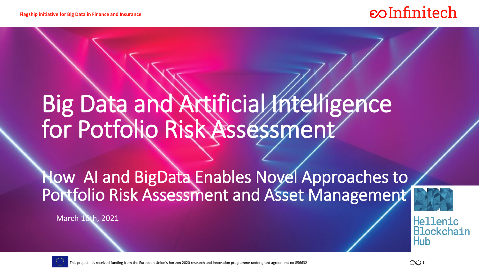### coInfinitech

# Big Data and Artificial Intelligence for Potfolio Risk Assessment

How AI and BigData Enables Novel Approaches to Portfolio Risk Assessment and Asset Management

March 16th, 2021



This project has received funding from the European Union's horizon 2020 research and innovation programme under grant agreement no 856632 **1** 

Hub

Hellenic Blockchain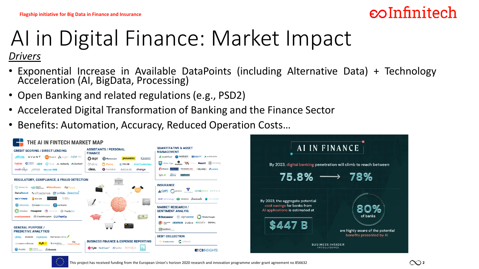### *eo*Infinitech

# AI in Digital Finance: Market Impact

*Drivers*

- Exponential Increase in Available DataPoints (including Alternative Data) + Technology Acceleration (AI, BigData, Processing)
- Open Banking and related regulations (e.g., PSD2)
- Accelerated Digital Transformation of Banking and the Finance Sector
- Benefits: Automation, Accuracy, Reduced Operation Costs…



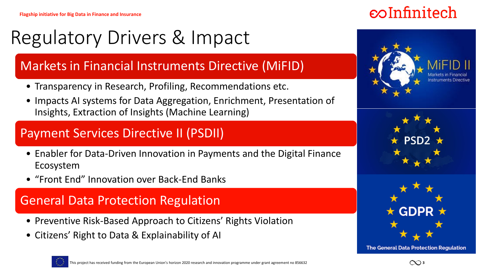## Regulatory Drivers & Impact

### Markets in Financial Instruments Directive (MiFID)

- Transparency in Research, Profiling, Recommendations etc.
- Impacts AI systems for Data Aggregation, Enrichment, Presentation of Insights, Extraction of Insights (Machine Learning)

### Payment Services Directive II (PSDII)

- Enabler for Data-Driven Innovation in Payments and the Digital Finance Ecosystem
- "Front End" Innovation over Back-End Banks

### General Data Protection Regulation

- Preventive Risk-Based Approach to Citizens' Rights Violation
- Citizens' Right to Data & Explainability of AI









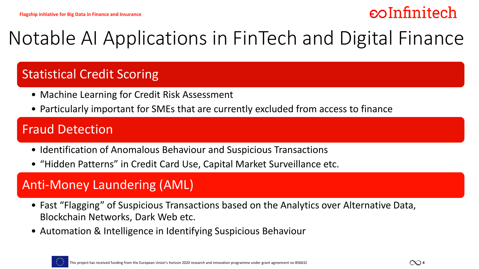### $\epsilon$

## Notable AI Applications in FinTech and Digital Finance

#### Statistical Credit Scoring

- Machine Learning for Credit Risk Assessment
- Particularly important for SMEs that are currently excluded from access to finance

#### Fraud Detection

- Identification of Anomalous Behaviour and Suspicious Transactions
- "Hidden Patterns" in Credit Card Use, Capital Market Surveillance etc.

### Anti-Money Laundering (AML)

- Fast "Flagging" of Suspicious Transactions based on the Analytics over Alternative Data, Blockchain Networks, Dark Web etc.
- Automation & Intelligence in Identifying Suspicious Behaviour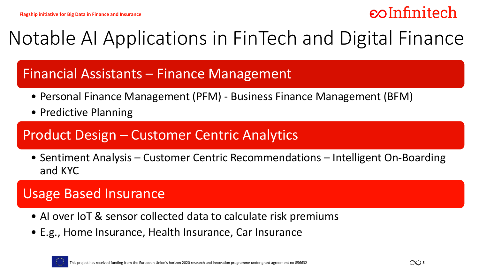### $\epsilon$

## Notable AI Applications in FinTech and Digital Finance

### Financial Assistants – Finance Management

- Personal Finance Management (PFM) Business Finance Management (BFM)
- Predictive Planning

#### Product Design – Customer Centric Analytics

• Sentiment Analysis – Customer Centric Recommendations – Intelligent On-Boarding and KYC

### Usage Based Insurance

- AI over IoT & sensor collected data to calculate risk premiums
- E.g., Home Insurance, Health Insurance, Car Insurance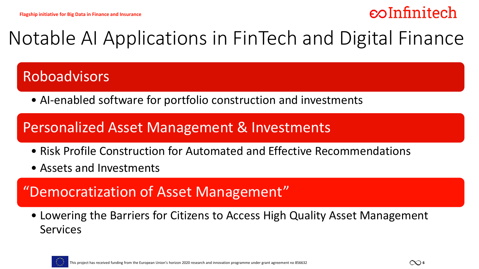### *eo*Infinitech

## Notable AI Applications in FinTech and Digital Finance

### Roboadvisors

• AI-enabled software for portfolio construction and investments

### Personalized Asset Management & Investments

- Risk Profile Construction for Automated and Effective Recommendations
- Assets and Investments

### "Democratization of Asset Management"

• Lowering the Barriers for Citizens to Access High Quality Asset Management Services